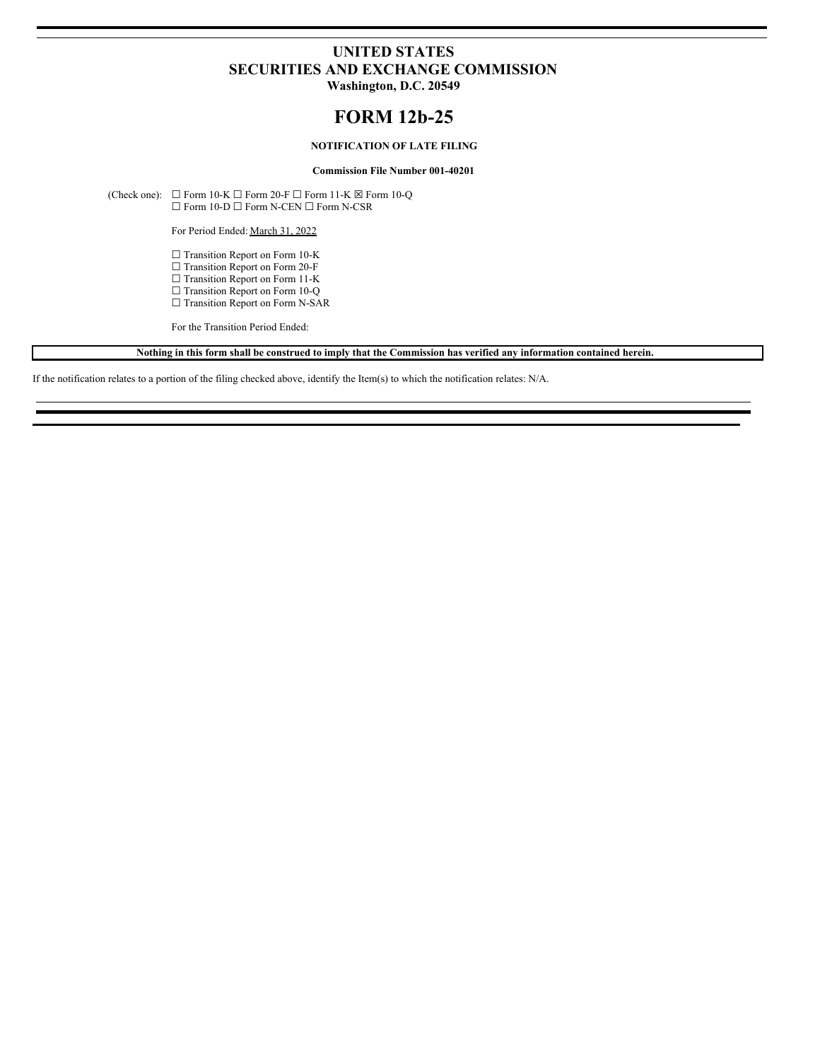# **UNITED STATES SECURITIES AND EXCHANGE COMMISSION**

**Washington, D.C. 20549**

## **FORM 12b-25**

### **NOTIFICATION OF LATE FILING**

**Commission File Number 001-40201**

(Check one):  $\Box$  Form 10-K  $\Box$  Form 20-F  $\Box$  Form 11-K  $\boxtimes$  Form 10-Q ☐ Form 10-D ☐ Form N-CEN ☐ Form N-CSR

For Period Ended: March 31, 2022

□ Transition Report on Form 10-K

□ Transition Report on Form 20-F

☐ Transition Report on Form 11-K

☐ Transition Report on Form 10-Q

□ Transition Report on Form N-SAR

For the Transition Period Ended:

Nothing in this form shall be construed to imply that the Commission has verified any information contained herein.

If the notification relates to a portion of the filing checked above, identify the Item(s) to which the notification relates: N/A.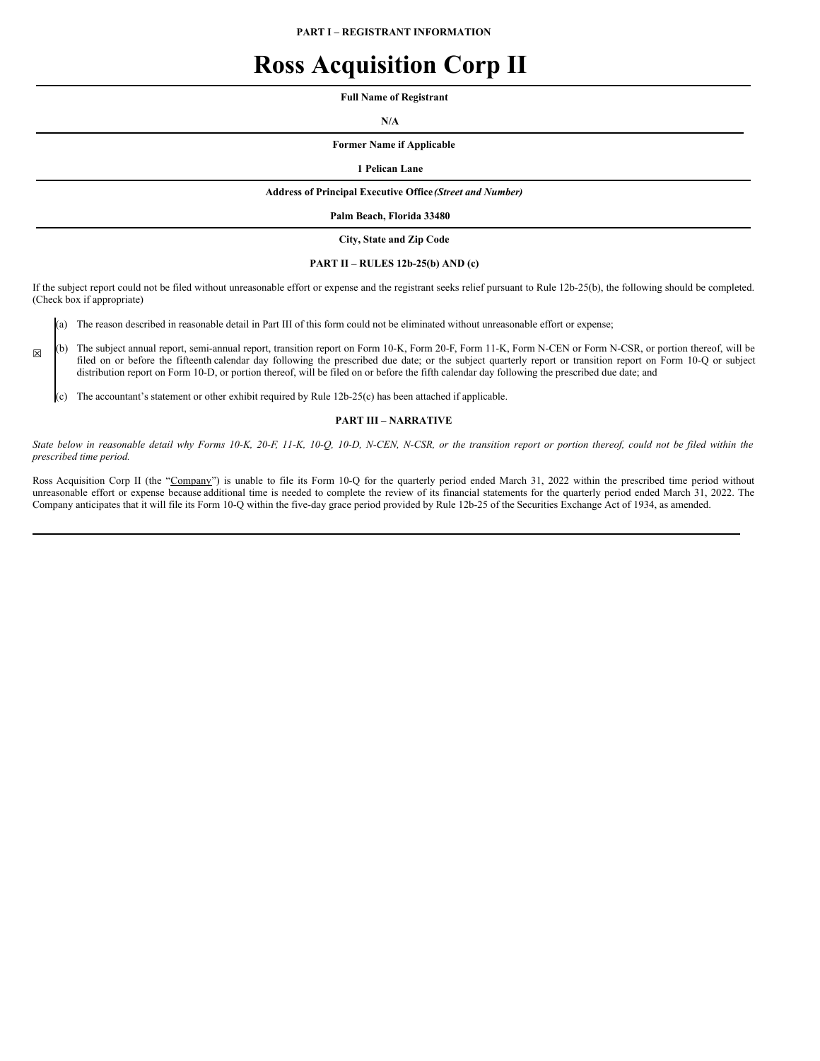**PART I – REGISTRANT INFORMATION**

# **Ross Acquisition Corp II**

**Full Name of Registrant**

**N/A**

**Former Name if Applicable**

**1 Pelican Lane**

#### **Address of Principal Executive Office** *(Street and Number)*

**Palm Beach, Florida 33480**

**City, State and Zip Code**

#### **PART II – RULES 12b-25(b) AND (c)**

If the subject report could not be filed without unreasonable effort or expense and the registrant seeks relief pursuant to Rule 12b-25(b), the following should be completed. (Check box if appropriate)

(a) The reason described in reasonable detail in Part III of this form could not be eliminated without unreasonable effort or expense;

(b) The subject annual report, semi-annual report, transition report on Form 10-K, Form 20-F, Form 11-K, Form N-CEN or Form N-CSR, or portion thereof, will be filed on or before the fifteenth calendar day following the prescribed due date; or the subject quarterly report or transition report on Form 10-Q or subject distribution report on Form 10-D, or portion thereof, will be filed on or before the fifth calendar day following the prescribed due date; and

(c) The accountant's statement or other exhibit required by Rule 12b-25(c) has been attached if applicable.

☒

#### **PART III – NARRATIVE**

State below in reasonable detail why Forms 10-K, 20-F, 11-K, 10-Q, 10-D, N-CEN, N-CSR, or the transition report or portion thereof, could not be filed within the *prescribed time period.*

Ross Acquisition Corp II (the "Company") is unable to file its Form 10-Q for the quarterly period ended March 31, 2022 within the prescribed time period without unreasonable effort or expense because additional time is needed to complete the review of its financial statements for the quarterly period ended March 31, 2022. The Company anticipates that it will file its Form 10-Q within the five-day grace period provided by Rule 12b-25 of the Securities Exchange Act of 1934, as amended.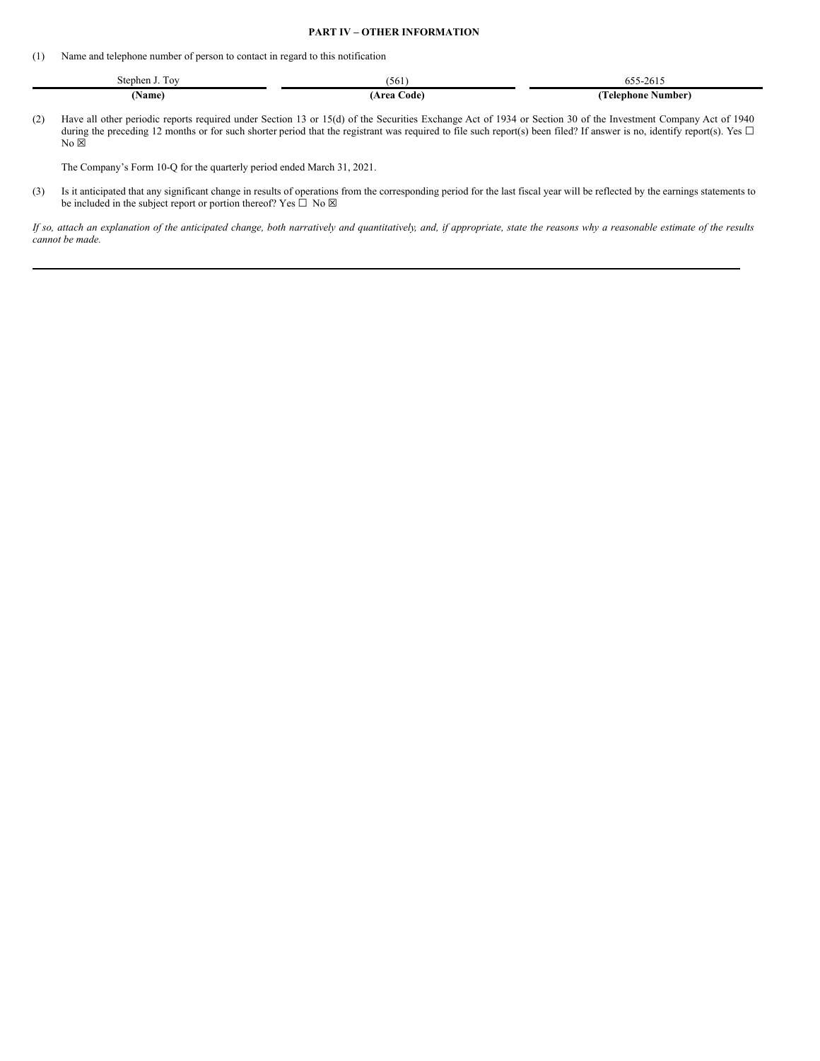#### **PART IV – OTHER INFORMATION**

(1) Name and telephone number of person to contact in regard to this notification

| -<br>Stephen J.<br>Tov | 1961            | -2615<br>$655 -$         |
|------------------------|-----------------|--------------------------|
| 'Name)                 | (Area Code<br>. | Telephone :<br>: Number) |

(2) Have all other periodic reports required under Section 13 or 15(d) of the Securities Exchange Act of 1934 or Section 30 of the Investment Company Act of 1940 during the preceding 12 months or for such shorter period that the registrant was required to file such report(s) been filed? If answer is no, identify report(s). Yes  $\Box$  $No >$ 

The Company's Form 10-Q for the quarterly period ended March 31, 2021.

(3) Is it anticipated that any significant change in results of operations from the corresponding period for the last fiscal year will be reflected by the earnings statements to be included in the subject report or portion thereof? Yes  $\Box$  No  $\boxtimes$ 

If so, attach an explanation of the anticipated change, both narratively and quantitatively, and, if appropriate, state the reasons why a reasonable estimate of the results *cannot be made.*